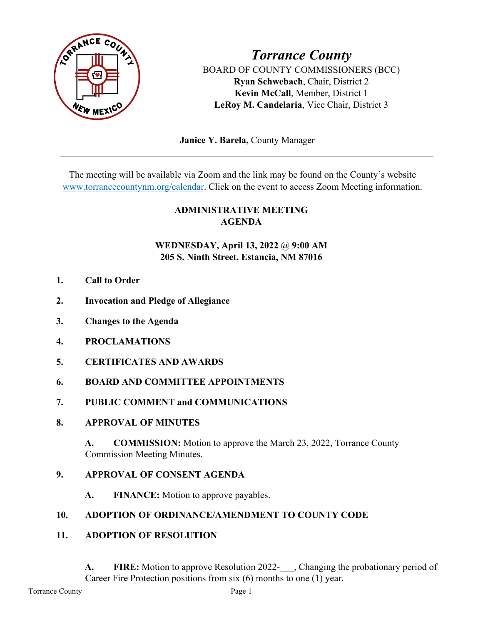

*Torrance County* BOARD OF COUNTY COMMISSIONERS (BCC) **Ryan Schwebach**, Chair, District 2 **Kevin McCall**, Member, District 1 **LeRoy M. Candelaria**, Vice Chair, District 3

 **Janice Y. Barela,** County Manager

The meeting will be available via Zoom and the link may be found on the County's website [www.torrancecountynm.org/calendar.](http://www.torrancecountynm.org/calendar) Click on the event to access Zoom Meeting information.

# **ADMINISTRATIVE MEETING AGENDA**

# **WEDNESDAY, April 13, 2022** @ **9:00 AM 205 S. Ninth Street, Estancia, NM 87016**

- **1. Call to Order**
- **2. Invocation and Pledge of Allegiance**
- **3. Changes to the Agenda**
- **4. PROCLAMATIONS**
- **5. CERTIFICATES AND AWARDS**
- **6. BOARD AND COMMITTEE APPOINTMENTS**
- **7. PUBLIC COMMENT and COMMUNICATIONS**
- **8. APPROVAL OF MINUTES**

**A. COMMISSION:** Motion to approve the March 23, 2022, Torrance County Commission Meeting Minutes.

### **9. APPROVAL OF CONSENT AGENDA**

**A. FINANCE:** Motion to approve payables.

### **10. ADOPTION OF ORDINANCE/AMENDMENT TO COUNTY CODE**

**11. ADOPTION OF RESOLUTION**

A. **FIRE:** Motion to approve Resolution 2022- , Changing the probationary period of Career Fire Protection positions from six (6) months to one (1) year.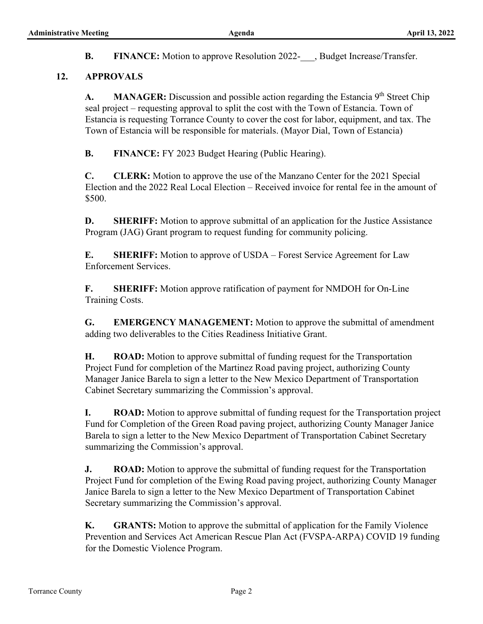**B. FINANCE:** Motion to approve Resolution 2022- , Budget Increase/Transfer.

#### **12. APPROVALS**

**A. MANAGER:** Discussion and possible action regarding the Estancia 9<sup>th</sup> Street Chip seal project – requesting approval to split the cost with the Town of Estancia. Town of Estancia is requesting Torrance County to cover the cost for labor, equipment, and tax. The Town of Estancia will be responsible for materials. (Mayor Dial, Town of Estancia)

**B. FINANCE:** FY 2023 Budget Hearing (Public Hearing).

**C. CLERK:** Motion to approve the use of the Manzano Center for the 2021 Special Election and the 2022 Real Local Election – Received invoice for rental fee in the amount of \$500.

**D. SHERIFF:** Motion to approve submittal of an application for the Justice Assistance Program (JAG) Grant program to request funding for community policing.

**E. SHERIFF:** Motion to approve of USDA – Forest Service Agreement for Law Enforcement Services.

**F. SHERIFF:** Motion approve ratification of payment for NMDOH for On-Line Training Costs.

**G. EMERGENCY MANAGEMENT:** Motion to approve the submittal of amendment adding two deliverables to the Cities Readiness Initiative Grant.

**H. ROAD:** Motion to approve submittal of funding request for the Transportation Project Fund for completion of the Martinez Road paving project, authorizing County Manager Janice Barela to sign a letter to the New Mexico Department of Transportation Cabinet Secretary summarizing the Commission's approval.

**I. ROAD:** Motion to approve submittal of funding request for the Transportation project Fund for Completion of the Green Road paving project, authorizing County Manager Janice Barela to sign a letter to the New Mexico Department of Transportation Cabinet Secretary summarizing the Commission's approval.

**J. ROAD:** Motion to approve the submittal of funding request for the Transportation Project Fund for completion of the Ewing Road paving project, authorizing County Manager Janice Barela to sign a letter to the New Mexico Department of Transportation Cabinet Secretary summarizing the Commission's approval.

**K. GRANTS:** Motion to approve the submittal of application for the Family Violence Prevention and Services Act American Rescue Plan Act (FVSPA-ARPA) COVID 19 funding for the Domestic Violence Program.